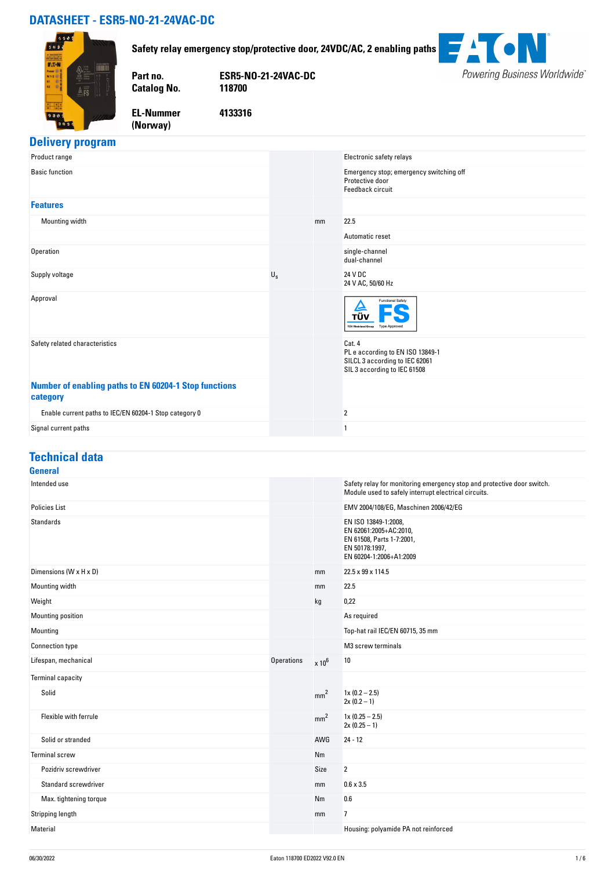# **DATASHEET - ESR5-NO-21-24VAC-DC**



#### **Safety relay emergency stop/protective door, 24VDC/AC, 2 enabling paths**

**Part no. ESR5-NO-21-24VAC-DC**

 $\overline{\mathbf{u}}$ Powering Business Worldwide®

**EL-Nummer (Norway)** 

**Catalog No.** 

**4133316**

# **Delivery program**

| Product range                                                     |             |    | Electronic safety relays                                                                                     |
|-------------------------------------------------------------------|-------------|----|--------------------------------------------------------------------------------------------------------------|
| <b>Basic function</b>                                             |             |    | Emergency stop; emergency switching off<br>Protective door<br>Feedback circuit                               |
| <b>Features</b>                                                   |             |    |                                                                                                              |
| Mounting width                                                    |             | mm | 22.5                                                                                                         |
|                                                                   |             |    | Automatic reset                                                                                              |
| Operation                                                         |             |    | single-channel<br>dual-channel                                                                               |
| Supply voltage                                                    | $U_{\rm S}$ |    | 24 V DC<br>24 V AC, 50/60 Hz                                                                                 |
| Approval                                                          |             |    | <b>Functional Safety</b><br>e<br>ΤÜΝ<br><b>TÜV Rheinland Group</b><br><b>Type Approved</b>                   |
| Safety related characteristics                                    |             |    | Cat. 4<br>PL e according to EN ISO 13849-1<br>SILCL 3 according to IEC 62061<br>SIL 3 according to IEC 61508 |
| Number of enabling paths to EN 60204-1 Stop functions<br>category |             |    |                                                                                                              |
| Enable current paths to IEC/EN 60204-1 Stop category 0            |             |    | 2                                                                                                            |
| Signal current paths                                              |             |    | -1                                                                                                           |
|                                                                   |             |    |                                                                                                              |

# **Technical data**

#### **General**<br>Intended use Safety relay for monitoring emergency stop and protective door switch. Module used to safely interrupt electrical circuits. Policies List EMV 2004/108/EG, Maschinen 2006/42/EG Standards EN ISO 13849-1:2008, EN 62061:2005+AC:2010, EN 61508, Parts 1-7:2001, EN 50178:1997, EN 60204-1:2006+A1:2009 Dimensions (W x H x D)  $mm$  22.5 x 99 x 114.5 Mounting width the control of the control of the control of the control of the control of the control of the control of the control of the control of the control of the control of the control of the control of the control Weight kg d,22 and 20,223 and 20,234 and 20,235 and 20,236 and 20,237 and 20,237 and 20,237 and 20,237 and 20, Mounting position As required As required As required As required As required As required Mounting Top-hat rail IEC/EN 60715, 35 mm Connection type **M3** screw terminals Lifespan, mechanical  $x + 10^6$  10 Terminal capacity Solid mm<sup>2</sup> 1x (0.2 – 2.5)  $2x (0.2 - 1)$ Flexible with ferrule matches are constant in the matches of the mm<sup>2</sup> 1x (0.25 – 2.5)<br>The mm<sup>2</sup> 1x (0.25 – 2.5)  $2x (0.25 - 1)$ Solid or stranded AWG 24 - 12 Terminal screw Nm Pozidriv screwdriver No. 2006 and 2007 and 2008 and 2008 and 2008 and 2008 and 2008 and 2008 and 2008 and 2008 and 2008 and 2008 and 2008 and 2008 and 2008 and 2008 and 2008 and 2008 and 2008 and 2008 and 2008 and 2008 and Standard screwdriver **mm** 0.6 x 3.5 Max. tightening torque **NM** 0.6 Stripping length and the stripping length mm and the stripping length mm and the stripping length mm and  $\eta$ Material Housing: polyamide PA not reinforced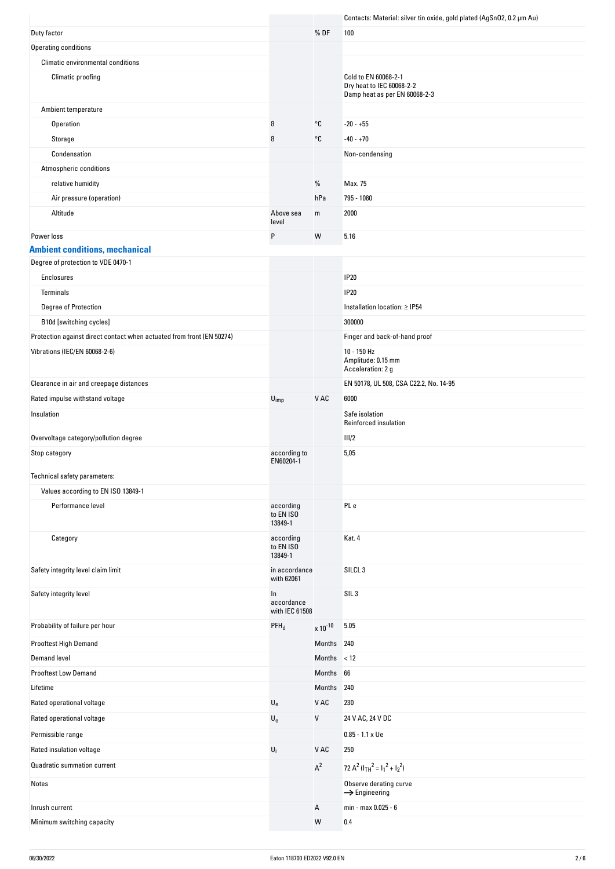|                                                                       |                                    |                   | Contacts: Material: silver tin oxide, gold plated (AgSnO2, 0.2 µm Au)              |
|-----------------------------------------------------------------------|------------------------------------|-------------------|------------------------------------------------------------------------------------|
| Duty factor                                                           |                                    | % DF              | 100                                                                                |
| Operating conditions                                                  |                                    |                   |                                                                                    |
| Climatic environmental conditions                                     |                                    |                   |                                                                                    |
| Climatic proofing                                                     |                                    |                   | Cold to EN 60068-2-1<br>Dry heat to IEC 60068-2-2<br>Damp heat as per EN 60068-2-3 |
| Ambient temperature                                                   |                                    |                   |                                                                                    |
| Operation                                                             | θ                                  | °C                | $-20 - +55$                                                                        |
| Storage                                                               | θ                                  | °C                | $-40 - +70$                                                                        |
| Condensation                                                          |                                    |                   | Non-condensing                                                                     |
| Atmospheric conditions                                                |                                    |                   |                                                                                    |
| relative humidity                                                     |                                    | %                 | Max. 75                                                                            |
| Air pressure (operation)                                              |                                    | hPa               | 795 - 1080                                                                         |
| Altitude                                                              | Above sea<br>level                 | m                 | 2000                                                                               |
| Power loss                                                            | P                                  | W                 | 5.16                                                                               |
| <b>Ambient conditions, mechanical</b>                                 |                                    |                   |                                                                                    |
| Degree of protection to VDE 0470-1                                    |                                    |                   |                                                                                    |
| Enclosures                                                            |                                    |                   | <b>IP20</b>                                                                        |
| Terminals                                                             |                                    |                   | <b>IP20</b>                                                                        |
| Degree of Protection                                                  |                                    |                   | Installation location: ≥ IP54                                                      |
| B10d [switching cycles]                                               |                                    |                   | 300000                                                                             |
| Protection against direct contact when actuated from front (EN 50274) |                                    |                   | Finger and back-of-hand proof                                                      |
| Vibrations (IEC/EN 60068-2-6)                                         |                                    |                   | 10 - 150 Hz<br>Amplitude: 0.15 mm<br>Acceleration: 2 g                             |
| Clearance in air and creepage distances                               |                                    |                   | EN 50178, UL 508, CSA C22.2, No. 14-95                                             |
| Rated impulse withstand voltage                                       | $U_{imp}$                          | V AC              | 6000                                                                               |
| Insulation                                                            |                                    |                   | Safe isolation<br>Reinforced insulation                                            |
| Overvoltage category/pollution degree                                 |                                    |                   | III/2                                                                              |
| Stop category                                                         | according to<br>EN60204-1          |                   | 5,05                                                                               |
| Technical safety parameters:                                          |                                    |                   |                                                                                    |
| Values according to EN ISO 13849-1                                    |                                    |                   |                                                                                    |
| Performance level                                                     | according<br>to EN ISO<br>13849-1  |                   | PL e                                                                               |
| Category                                                              | according<br>to EN ISO<br>13849-1  |                   | Kat. 4                                                                             |
| Safety integrity level claim limit                                    | in accordance<br>with 62061        |                   | SILCL <sub>3</sub>                                                                 |
| Safety integrity level                                                | In<br>accordance<br>with IEC 61508 |                   | SIL <sub>3</sub>                                                                   |
| Probability of failure per hour                                       | $PFH_d$                            | $\times 10^{-10}$ | 5.05                                                                               |
| Prooftest High Demand                                                 |                                    | Months 240        |                                                                                    |
| <b>Demand level</b>                                                   |                                    | Months $<$ 12     |                                                                                    |
| <b>Prooftest Low Demand</b>                                           |                                    | Months 66         |                                                                                    |
| Lifetime                                                              |                                    | Months            | 240                                                                                |
| Rated operational voltage                                             | $\mathsf{U}_{\mathsf{e}}$          | V AC              | 230                                                                                |
| Rated operational voltage                                             | $\mathsf{U}_{\mathrm{e}}$          | V                 | 24 V AC, 24 V DC                                                                   |
| Permissible range                                                     |                                    |                   | $0.85 - 1.1 \times Ue$                                                             |
| Rated insulation voltage                                              | $\mathsf{U}_\mathsf{i}$            | V AC              | 250                                                                                |
| Quadratic summation current                                           |                                    | $\textup{A}^2$    |                                                                                    |
|                                                                       |                                    |                   | 72 $A^2$ ( $I_{TH}^2 = I_1^2 + I_2^2$ )                                            |
| Notes                                                                 |                                    |                   | Observe derating curve<br>$\rightarrow$ Engineering                                |
| Inrush current                                                        |                                    | А                 | min - max 0.025 - 6                                                                |
| Minimum switching capacity                                            |                                    | ${\sf W}$         | 0.4                                                                                |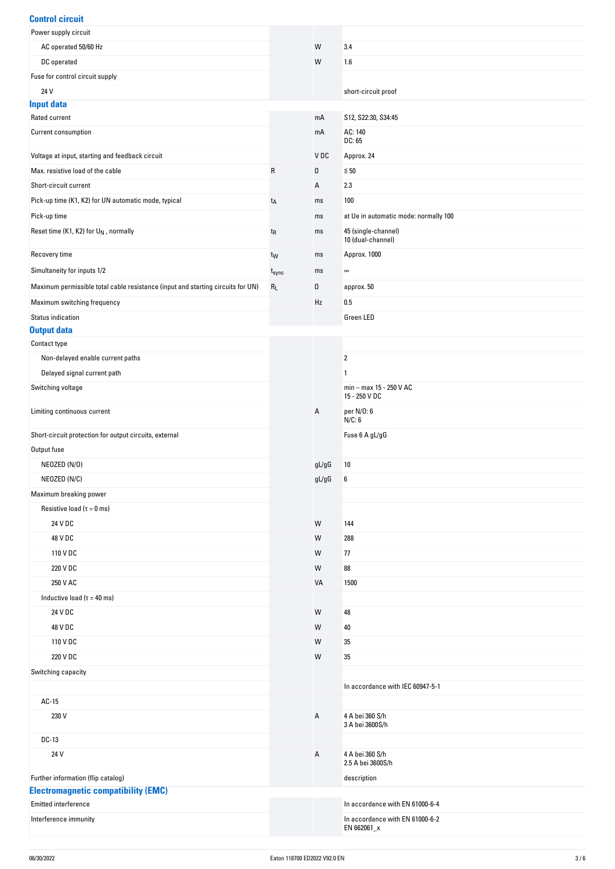#### **Control circuit**

| VVIIN VI VIIVUN                                                                 |                   |       |                                                |
|---------------------------------------------------------------------------------|-------------------|-------|------------------------------------------------|
| Power supply circuit                                                            |                   |       |                                                |
| AC operated 50/60 Hz                                                            |                   | W     | 3.4                                            |
| DC operated                                                                     |                   | W     | 1.6                                            |
| Fuse for control circuit supply                                                 |                   |       |                                                |
| 24 V                                                                            |                   |       | short-circuit proof                            |
| <b>Input data</b>                                                               |                   |       |                                                |
| Rated current                                                                   |                   | mA    | S12, S22:30, S34:45                            |
| Current consumption                                                             |                   | mA    | AC: 140                                        |
|                                                                                 |                   |       | DC: 65                                         |
| Voltage at input, starting and feedback circuit                                 |                   | VDC   | Approx. 24                                     |
| Max, resistive load of the cable                                                | ${\sf R}$         | Ω     | $\leq 50$                                      |
| Short-circuit current                                                           |                   | Α     | 2.3                                            |
| Pick-up time (K1, K2) for UN automatic mode, typical                            | $t_A$             | ms    | 100                                            |
| Pick-up time                                                                    |                   | ms    | at Ue in automatic mode: normally 100          |
| Reset time (K1, K2) for U <sub>N</sub> , normally                               | $t_{R}$           | ms    | 45 (single-channel)<br>10 (dual-channel)       |
| Recovery time                                                                   | t <sub>W</sub>    | ms    | Approx. 1000                                   |
| Simultaneity for inputs 1/2                                                     | t <sub>sync</sub> | ms    | $\infty$                                       |
|                                                                                 |                   |       |                                                |
| Maximum permissible total cable resistance (input and starting circuits for UN) | $\rm R_L$         | Ω     | approx. 50                                     |
| Maximum switching frequency                                                     |                   | Hz    | 0.5                                            |
| Status indication                                                               |                   |       | Green LED                                      |
| <b>Output data</b>                                                              |                   |       |                                                |
| Contact type                                                                    |                   |       |                                                |
| Non-delayed enable current paths                                                |                   |       | $\overline{2}$                                 |
| Delayed signal current path                                                     |                   |       | 1                                              |
| Switching voltage                                                               |                   |       | min - max 15 - 250 V AC<br>15 - 250 V DC       |
| Limiting continuous current                                                     |                   | А     | per N/0: 6<br>N/C: 6                           |
| Short-circuit protection for output circuits, external                          |                   |       | Fuse 6 A gL/gG                                 |
| Output fuse                                                                     |                   |       |                                                |
| NEOZED (N/O)                                                                    |                   | gL/gG | 10                                             |
| NEOZED (N/C)                                                                    |                   | gL/gG | 6                                              |
| Maximum breaking power                                                          |                   |       |                                                |
| Resistive load ( $\tau = 0$ ms)                                                 |                   |       |                                                |
| 24 V DC                                                                         |                   | W     | 144                                            |
|                                                                                 |                   |       |                                                |
| 48 V DC                                                                         |                   | W     | 288                                            |
| 110 V DC                                                                        |                   | W     | 77                                             |
| 220 V DC                                                                        |                   | W     | 88                                             |
| 250 V AC                                                                        |                   | VA    | 1500                                           |
| Inductive load ( $\tau$ = 40 ms)                                                |                   |       |                                                |
| 24 V DC                                                                         |                   | W     | 48                                             |
| 48 V DC                                                                         |                   | W     | 40                                             |
| 110 V DC                                                                        |                   | W     | 35                                             |
| 220 V DC                                                                        |                   | W     | 35                                             |
| Switching capacity                                                              |                   |       |                                                |
|                                                                                 |                   |       | In accordance with IEC 60947-5-1               |
| AC-15                                                                           |                   |       |                                                |
| 230 V                                                                           |                   | А     | 4 A bei 360 S/h                                |
|                                                                                 |                   |       | 3 A bei 3600S/h                                |
| DC-13                                                                           |                   |       |                                                |
| 24 V                                                                            |                   | А     | 4 A bei 360 S/h<br>2.5 A bei 3600S/h           |
| Further information (flip catalog)                                              |                   |       | description                                    |
| <b>Electromagnetic compatibility (EMC)</b>                                      |                   |       |                                                |
| Emitted interference                                                            |                   |       | In accordance with EN 61000-6-4                |
| Interference immunity                                                           |                   |       | In accordance with EN 61000-6-2<br>EN 662061_x |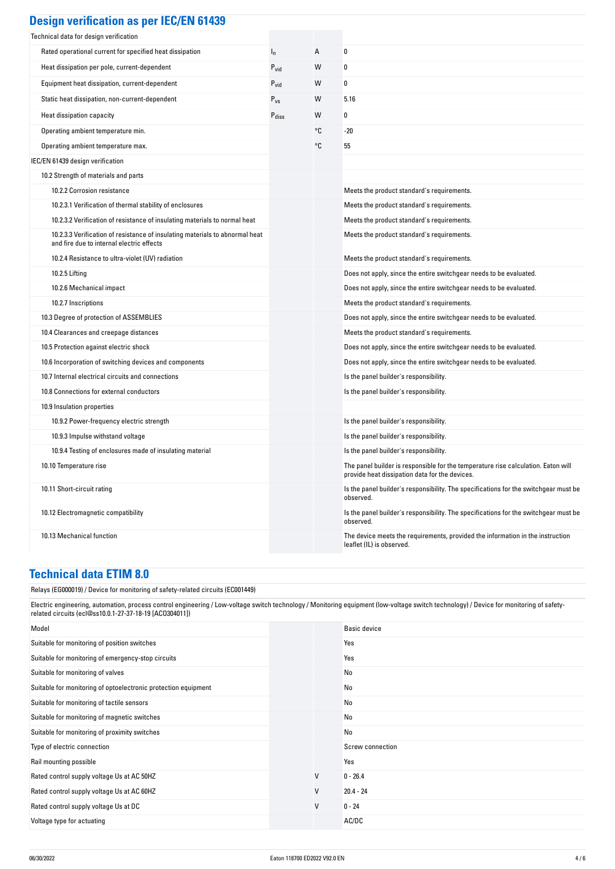| <b>Design verification as per IEC/EN 61439</b> |  |  |
|------------------------------------------------|--|--|
|                                                |  |  |

| Technical data for design verification                                                                                    |                   |    |                                                                                                                                     |
|---------------------------------------------------------------------------------------------------------------------------|-------------------|----|-------------------------------------------------------------------------------------------------------------------------------------|
| Rated operational current for specified heat dissipation                                                                  | $I_n$             | Α  | 0                                                                                                                                   |
| Heat dissipation per pole, current-dependent                                                                              | $P_{\text{vid}}$  | W  | 0                                                                                                                                   |
| Equipment heat dissipation, current-dependent                                                                             | $P_{\text{vid}}$  | W  | 0                                                                                                                                   |
| Static heat dissipation, non-current-dependent                                                                            | $P_{VS}$          | W  | 5.16                                                                                                                                |
| Heat dissipation capacity                                                                                                 | $P_{\text{diss}}$ | W  | 0                                                                                                                                   |
| Operating ambient temperature min.                                                                                        |                   | °C | $-20$                                                                                                                               |
| Operating ambient temperature max.                                                                                        |                   | °C | 55                                                                                                                                  |
| IEC/EN 61439 design verification                                                                                          |                   |    |                                                                                                                                     |
| 10.2 Strength of materials and parts                                                                                      |                   |    |                                                                                                                                     |
| 10.2.2 Corrosion resistance                                                                                               |                   |    | Meets the product standard's requirements.                                                                                          |
| 10.2.3.1 Verification of thermal stability of enclosures                                                                  |                   |    | Meets the product standard's requirements.                                                                                          |
| 10.2.3.2 Verification of resistance of insulating materials to normal heat                                                |                   |    | Meets the product standard's requirements.                                                                                          |
| 10.2.3.3 Verification of resistance of insulating materials to abnormal heat<br>and fire due to internal electric effects |                   |    | Meets the product standard's requirements.                                                                                          |
| 10.2.4 Resistance to ultra-violet (UV) radiation                                                                          |                   |    | Meets the product standard's requirements.                                                                                          |
| 10.2.5 Lifting                                                                                                            |                   |    | Does not apply, since the entire switchgear needs to be evaluated.                                                                  |
| 10.2.6 Mechanical impact                                                                                                  |                   |    | Does not apply, since the entire switchgear needs to be evaluated.                                                                  |
| 10.2.7 Inscriptions                                                                                                       |                   |    | Meets the product standard's requirements.                                                                                          |
| 10.3 Degree of protection of ASSEMBLIES                                                                                   |                   |    | Does not apply, since the entire switchgear needs to be evaluated.                                                                  |
| 10.4 Clearances and creepage distances                                                                                    |                   |    | Meets the product standard's requirements.                                                                                          |
| 10.5 Protection against electric shock                                                                                    |                   |    | Does not apply, since the entire switchgear needs to be evaluated.                                                                  |
| 10.6 Incorporation of switching devices and components                                                                    |                   |    | Does not apply, since the entire switchgear needs to be evaluated.                                                                  |
| 10.7 Internal electrical circuits and connections                                                                         |                   |    | Is the panel builder's responsibility.                                                                                              |
| 10.8 Connections for external conductors                                                                                  |                   |    | Is the panel builder's responsibility.                                                                                              |
| 10.9 Insulation properties                                                                                                |                   |    |                                                                                                                                     |
| 10.9.2 Power-frequency electric strength                                                                                  |                   |    | Is the panel builder's responsibility.                                                                                              |
| 10.9.3 Impulse withstand voltage                                                                                          |                   |    | Is the panel builder's responsibility.                                                                                              |
| 10.9.4 Testing of enclosures made of insulating material                                                                  |                   |    | Is the panel builder's responsibility.                                                                                              |
| 10.10 Temperature rise                                                                                                    |                   |    | The panel builder is responsible for the temperature rise calculation. Eaton will<br>provide heat dissipation data for the devices. |
| 10.11 Short-circuit rating                                                                                                |                   |    | Is the panel builder's responsibility. The specifications for the switchgear must be<br>observed.                                   |
| 10.12 Electromagnetic compatibility                                                                                       |                   |    | Is the panel builder's responsibility. The specifications for the switchgear must be<br>observed.                                   |
| 10.13 Mechanical function                                                                                                 |                   |    | The device meets the requirements, provided the information in the instruction<br>leaflet (IL) is observed.                         |

#### **Technical data ETIM 8.0**

Relays (EG000019) / Device for monitoring of safety-related circuits (EC001449)

Electric engineering, automation, process control engineering / Low-voltage switch technology / Monitoring equipment (low-voltage switch technology) / Device for monitoring of safetyrelated circuits (ecl@ss10.0.1-27-37-18-19 [ACO304011])

| Model                                                          |   | <b>Basic device</b> |
|----------------------------------------------------------------|---|---------------------|
| Suitable for monitoring of position switches                   |   | Yes                 |
| Suitable for monitoring of emergency-stop circuits             |   | Yes                 |
| Suitable for monitoring of valves                              |   | No                  |
| Suitable for monitoring of optoelectronic protection equipment |   | No                  |
| Suitable for monitoring of tactile sensors                     |   | No                  |
| Suitable for monitoring of magnetic switches                   |   | No                  |
| Suitable for monitoring of proximity switches                  |   | No                  |
| Type of electric connection                                    |   | Screw connection    |
| Rail mounting possible                                         |   | Yes                 |
| Rated control supply voltage Us at AC 50HZ                     | V | $0 - 26.4$          |
| Rated control supply voltage Us at AC 60HZ                     | V | $20.4 - 24$         |
| Rated control supply voltage Us at DC                          | V | $0 - 24$            |
| Voltage type for actuating                                     |   | AC/DC               |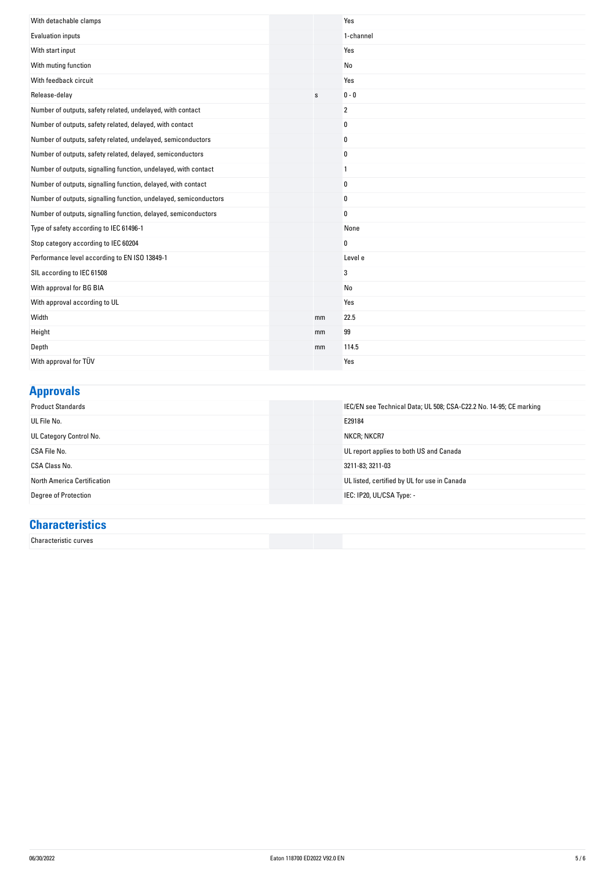| With detachable clamps                                            |    | Yes            |
|-------------------------------------------------------------------|----|----------------|
| Evaluation inputs                                                 |    | 1-channel      |
| With start input                                                  |    | Yes            |
| With muting function                                              |    | No             |
| With feedback circuit                                             |    | Yes            |
| Release-delay                                                     | s  | $0 - 0$        |
| Number of outputs, safety related, undelayed, with contact        |    | $\overline{2}$ |
| Number of outputs, safety related, delayed, with contact          |    | $\pmb{0}$      |
| Number of outputs, safety related, undelayed, semiconductors      |    | 0              |
| Number of outputs, safety related, delayed, semiconductors        |    | 0              |
| Number of outputs, signalling function, undelayed, with contact   |    | $\mathbf{1}$   |
| Number of outputs, signalling function, delayed, with contact     |    | 0              |
| Number of outputs, signalling function, undelayed, semiconductors |    | 0              |
| Number of outputs, signalling function, delayed, semiconductors   |    | 0              |
| Type of safety according to IEC 61496-1                           |    | None           |
| Stop category according to IEC 60204                              |    | 0              |
| Performance level according to EN ISO 13849-1                     |    | Level e        |
| SIL according to IEC 61508                                        |    | 3              |
| With approval for BG BIA                                          |    | No             |
| With approval according to UL                                     |    | Yes            |
| Width                                                             | mm | 22.5           |
| Height                                                            | mm | 99             |
| Depth                                                             | mm | 114.5          |
| With approval for TÜV                                             |    | Yes            |

# **Approvals**

| <b>Product Standards</b>    | IEC/EN see Technical Data; UL 508; CSA-C22.2 No. 14-95; CE marking |
|-----------------------------|--------------------------------------------------------------------|
| UL File No.                 | E29184                                                             |
| UL Category Control No.     | NKCR; NKCR7                                                        |
| CSA File No.                | UL report applies to both US and Canada                            |
| CSA Class No.               | 3211-83; 3211-03                                                   |
| North America Certification | UL listed, certified by UL for use in Canada                       |
| Degree of Protection        | IEC: IP20, UL/CSA Type: -                                          |

## **Characteristics**

Characteristic curves